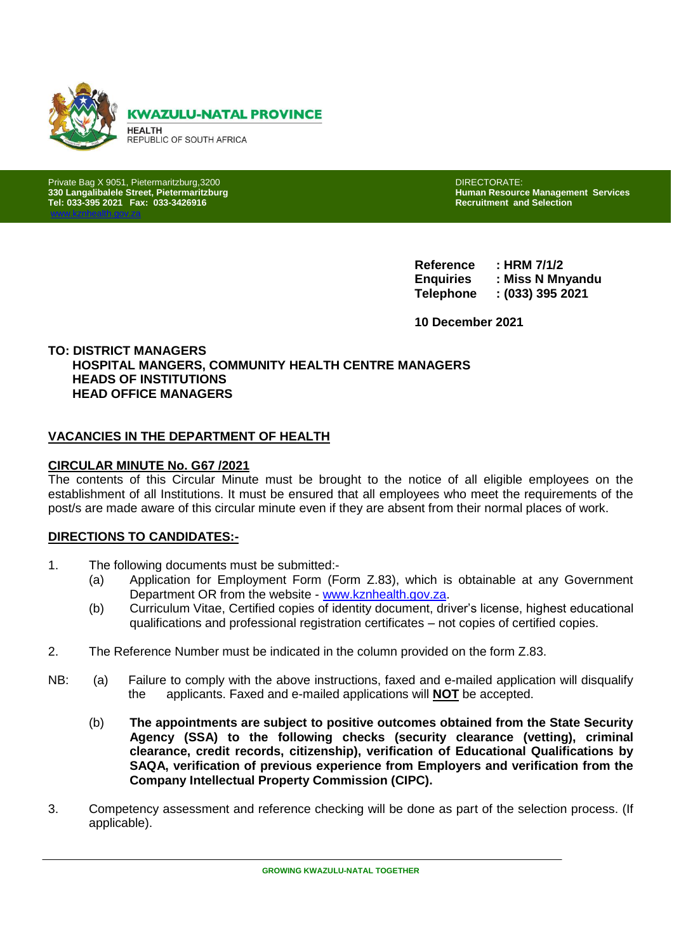

**330 Langalibalele Street, Pietermaritzburg Human Resource Management Services Tel: 033-395 2021 Fax: 033-3426916 Recruitment and Selection** 

[www.kznhealth.gov.za](http://www.kznhealth.gov.za/)

Private Bag X 9051, Pietermaritzburg,3200<br>1999 - San DIRECTORATE: DIRECTORATE: DIRECTORATE: DIRECTORATE: DIRECTORATE: DIRECTORATE: DIRECTORATE: DIRECTOR<br>2009 - Director Director American Director Director Director Director

**Reference : HRM 7/1/2 Enquiries : Miss N Mnyandu Telephone : (033) 395 2021**

**10 December 2021**

### **TO: DISTRICT MANAGERS HOSPITAL MANGERS, COMMUNITY HEALTH CENTRE MANAGERS HEADS OF INSTITUTIONS HEAD OFFICE MANAGERS**

### **VACANCIES IN THE DEPARTMENT OF HEALTH**

#### **CIRCULAR MINUTE No. G67 /2021**

The contents of this Circular Minute must be brought to the notice of all eligible employees on the establishment of all Institutions. It must be ensured that all employees who meet the requirements of the post/s are made aware of this circular minute even if they are absent from their normal places of work.

#### **DIRECTIONS TO CANDIDATES:-**

- 1. The following documents must be submitted:-
	- (a) Application for Employment Form (Form Z.83), which is obtainable at any Government Department OR from the website - [www.kznhealth.gov.za.](http://www.kznhealth.gov.za/)
	- (b) Curriculum Vitae, Certified copies of identity document, driver's license, highest educational qualifications and professional registration certificates – not copies of certified copies.
- 2. The Reference Number must be indicated in the column provided on the form Z.83.
- NB: (a) Failure to comply with the above instructions, faxed and e-mailed application will disqualify the applicants. Faxed and e-mailed applications will **NOT** be accepted.
	- (b) **The appointments are subject to positive outcomes obtained from the State Security Agency (SSA) to the following checks (security clearance (vetting), criminal clearance, credit records, citizenship), verification of Educational Qualifications by SAQA, verification of previous experience from Employers and verification from the Company Intellectual Property Commission (CIPC).**
- 3. Competency assessment and reference checking will be done as part of the selection process. (If applicable).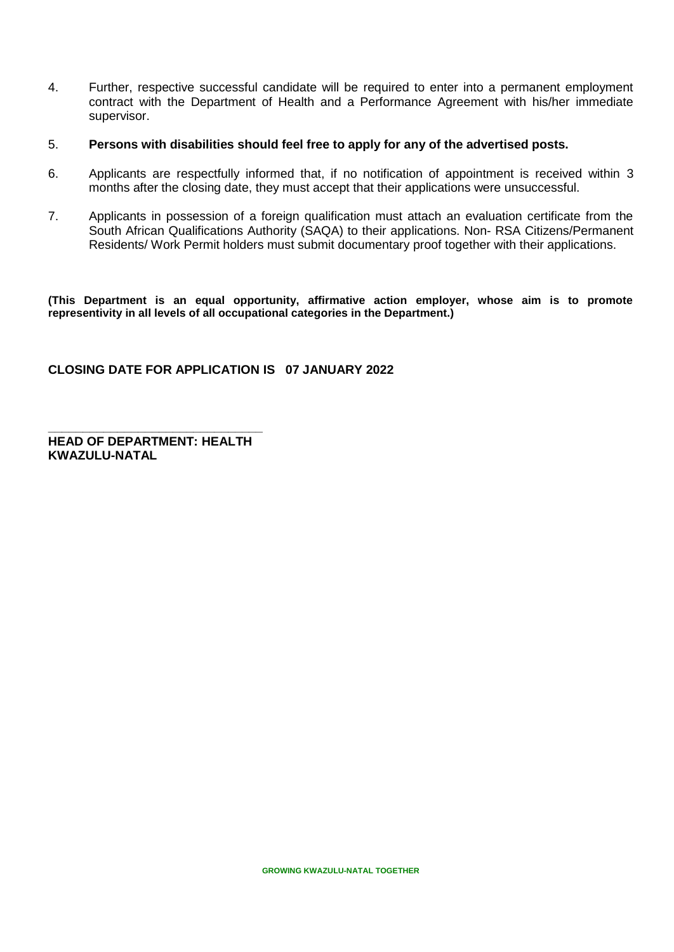- 4. Further, respective successful candidate will be required to enter into a permanent employment contract with the Department of Health and a Performance Agreement with his/her immediate supervisor.
- 5. **Persons with disabilities should feel free to apply for any of the advertised posts.**
- 6. Applicants are respectfully informed that, if no notification of appointment is received within 3 months after the closing date, they must accept that their applications were unsuccessful.
- 7. Applicants in possession of a foreign qualification must attach an evaluation certificate from the South African Qualifications Authority (SAQA) to their applications. Non- RSA Citizens/Permanent Residents/ Work Permit holders must submit documentary proof together with their applications.

**(This Department is an equal opportunity, affirmative action employer, whose aim is to promote representivity in all levels of all occupational categories in the Department.)** 

### **CLOSING DATE FOR APPLICATION IS 07 JANUARY 2022**

**\_\_\_\_\_\_\_\_\_\_\_\_\_\_\_\_\_\_\_\_\_\_\_\_\_\_\_\_\_\_\_ HEAD OF DEPARTMENT: HEALTH KWAZULU-NATAL**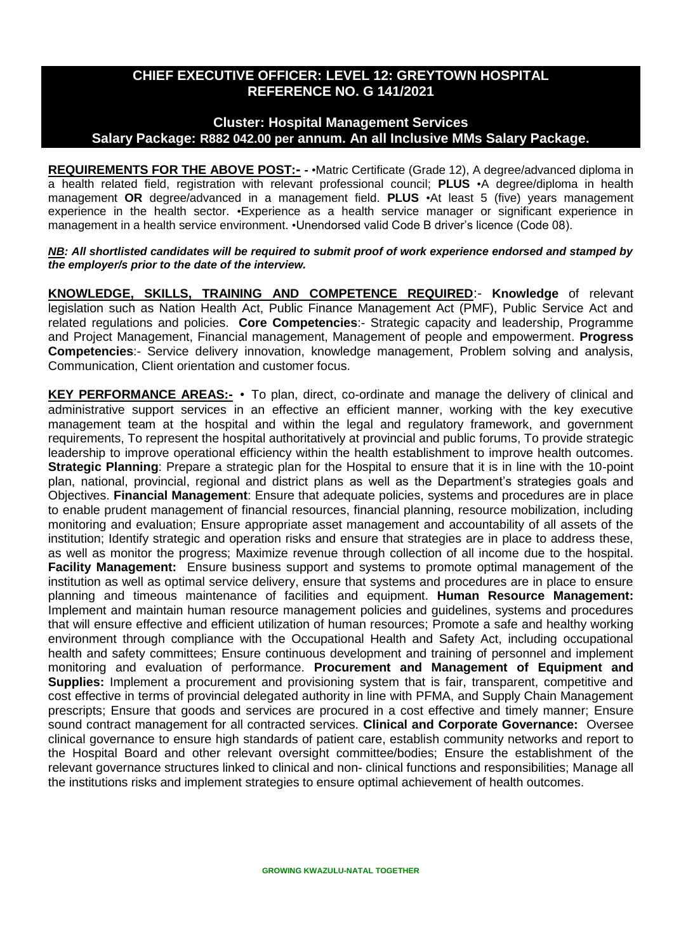## **CHIEF EXECUTIVE OFFICER: LEVEL 12: GREYTOWN HOSPITAL REFERENCE NO. G 141/2021**

### **Cluster: Hospital Management Services Salary Package: R882 042.00 per annum. An all Inclusive MMs Salary Package.**

**REQUIREMENTS FOR THE ABOVE POST:- -** •Matric Certificate (Grade 12), A degree/advanced diploma in a health related field, registration with relevant professional council; **PLUS** •A degree/diploma in health management **OR** degree/advanced in a management field. **PLUS** •At least 5 (five) years management experience in the health sector. •Experience as a health service manager or significant experience in management in a health service environment. •Unendorsed valid Code B driver's licence (Code 08).

*NB: All shortlisted candidates will be required to submit proof of work experience endorsed and stamped by the employer/s prior to the date of the interview.*

**KNOWLEDGE, SKILLS, TRAINING AND COMPETENCE REQUIRED**:- **Knowledge** of relevant legislation such as Nation Health Act, Public Finance Management Act (PMF), Public Service Act and related regulations and policies. **Core Competencies**:- Strategic capacity and leadership, Programme and Project Management, Financial management, Management of people and empowerment. **Progress Competencies**:- Service delivery innovation, knowledge management, Problem solving and analysis, Communication, Client orientation and customer focus.

**KEY PERFORMANCE AREAS:-** • To plan, direct, co-ordinate and manage the delivery of clinical and administrative support services in an effective an efficient manner, working with the key executive management team at the hospital and within the legal and regulatory framework, and government requirements, To represent the hospital authoritatively at provincial and public forums, To provide strategic leadership to improve operational efficiency within the health establishment to improve health outcomes. **Strategic Planning**: Prepare a strategic plan for the Hospital to ensure that it is in line with the 10-point plan, national, provincial, regional and district plans as well as the Department's strategies goals and Objectives. **Financial Management**: Ensure that adequate policies, systems and procedures are in place to enable prudent management of financial resources, financial planning, resource mobilization, including monitoring and evaluation; Ensure appropriate asset management and accountability of all assets of the institution; Identify strategic and operation risks and ensure that strategies are in place to address these, as well as monitor the progress; Maximize revenue through collection of all income due to the hospital. **Facility Management:** Ensure business support and systems to promote optimal management of the institution as well as optimal service delivery, ensure that systems and procedures are in place to ensure planning and timeous maintenance of facilities and equipment. **Human Resource Management:**  Implement and maintain human resource management policies and guidelines, systems and procedures that will ensure effective and efficient utilization of human resources; Promote a safe and healthy working environment through compliance with the Occupational Health and Safety Act, including occupational health and safety committees; Ensure continuous development and training of personnel and implement monitoring and evaluation of performance. **Procurement and Management of Equipment and Supplies:** Implement a procurement and provisioning system that is fair, transparent, competitive and cost effective in terms of provincial delegated authority in line with PFMA, and Supply Chain Management prescripts; Ensure that goods and services are procured in a cost effective and timely manner; Ensure sound contract management for all contracted services. **Clinical and Corporate Governance:** Oversee clinical governance to ensure high standards of patient care, establish community networks and report to the Hospital Board and other relevant oversight committee/bodies; Ensure the establishment of the relevant governance structures linked to clinical and non- clinical functions and responsibilities; Manage all the institutions risks and implement strategies to ensure optimal achievement of health outcomes.